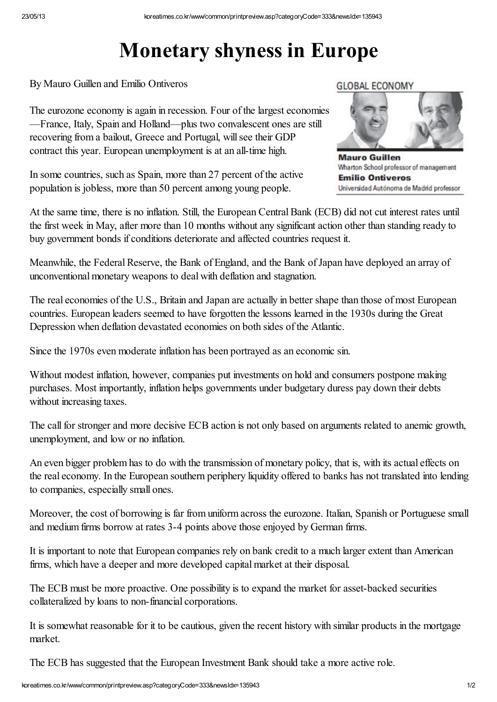## Monetary shyness in Europe

By Mauro Guillen and Emilio Ontiveros

The eurozone economy is again in recession. Four of the largest economies —France, Italy, Spain and Holland—plus two convalescent ones are still recovering from a bailout, Greece and Portugal, will see their GDP contract this year. European unemployment is at an all-time high.

In some countries, such as Spain, more than 27 percent of the active population is jobless, more than 50 percent among young people.

## **GLOBAL ECONOMY**



**Mauro Guillen** Wharton School professor of management **Emilio Ontiveros** Universidad Autónoma de Madrid professor

At the same time, there is no inflation. Still, the European Central Bank (ECB) did not cut interest rates until the first week in May, after more than 10 months without any significant action other than standing ready to buy government bonds if conditions deteriorate and affected countries request it.

Meanwhile, the Federal Reserve, the Bank of England, and the Bank of Japan have deployed an array of unconventional monetary weapons to deal with deflation and stagnation.

The real economies of the U.S., Britain and Japan are actually in better shape than those of most European countries. European leaders seemed to have forgotten the lessons learned in the 1930s during the Great Depression when deflation devastated economies on both sides of the Atlantic.

Since the 1970s even moderate inflation has been portrayed as an economic sin.

Without modest inflation, however, companies put investments on hold and consumers postpone making purchases. Most importantly, inflation helps governments under budgetary duress pay down their debts without increasing taxes.

The call for stronger and more decisive ECB action is not only based on arguments related to anemic growth, unemployment, and low or no inflation.

An even bigger problem has to do with the transmission of monetary policy, that is, with its actual effects on the real economy. In the European southern periphery liquidity offered to banks has not translated into lending to companies, especially small ones.

Moreover, the cost of borrowing is far from uniform across the eurozone. Italian, Spanish or Portuguese small and medium firms borrow at rates 3-4 points above those enjoyed by German firms.

It is important to note that European companies rely on bank credit to a much larger extent than American firms, which have a deeper and more developed capital market at their disposal.

The ECB must be more proactive. One possibility is to expand the market for asset-backed securities collateralized by loans to non-financial corporations.

It is somewhat reasonable for it to be cautious, given the recent history with similar products in the mortgage market.

The ECB has suggested that the European Investment Bank should take a more active role.